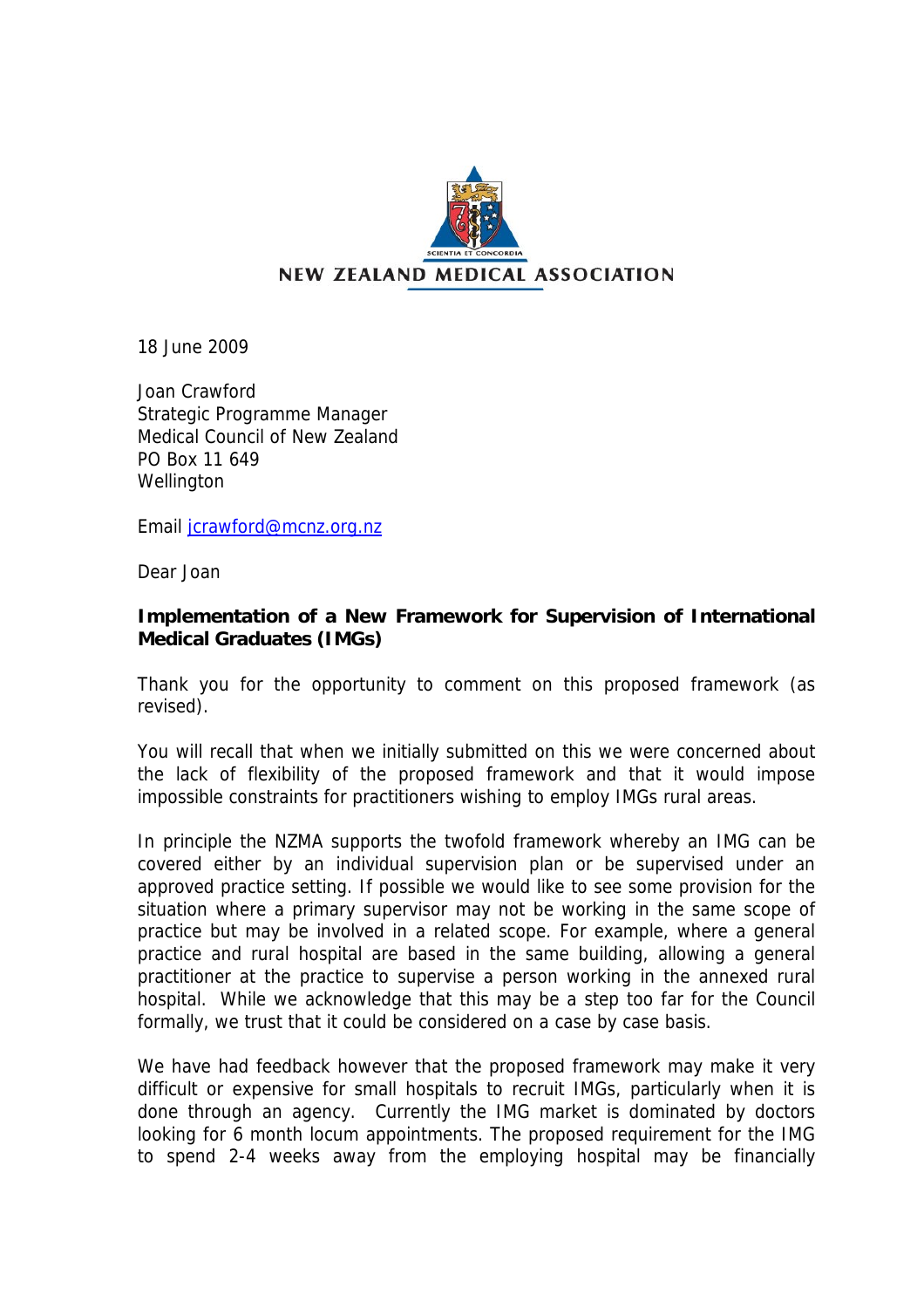

18 June 2009

Joan Crawford Strategic Programme Manager Medical Council of New Zealand PO Box 11 649 **Wellington** 

Email [jcrawford@mcnz.org.nz](mailto:jcrawford@mcnz.org.nz) 

Dear Joan

## **Implementation of a New Framework for Supervision of International Medical Graduates (IMGs)**

Thank you for the opportunity to comment on this proposed framework (as revised).

You will recall that when we initially submitted on this we were concerned about the lack of flexibility of the proposed framework and that it would impose impossible constraints for practitioners wishing to employ IMGs rural areas.

In principle the NZMA supports the twofold framework whereby an IMG can be covered either by an individual supervision plan or be supervised under an approved practice setting. If possible we would like to see some provision for the situation where a primary supervisor may not be working in the same scope of practice but may be involved in a related scope. For example, where a general practice and rural hospital are based in the same building, allowing a general practitioner at the practice to supervise a person working in the annexed rural hospital. While we acknowledge that this may be a step too far for the Council formally, we trust that it could be considered on a case by case basis.

We have had feedback however that the proposed framework may make it very difficult or expensive for small hospitals to recruit IMGs, particularly when it is done through an agency. Currently the IMG market is dominated by doctors looking for 6 month locum appointments. The proposed requirement for the IMG to spend 2-4 weeks away from the employing hospital may be financially